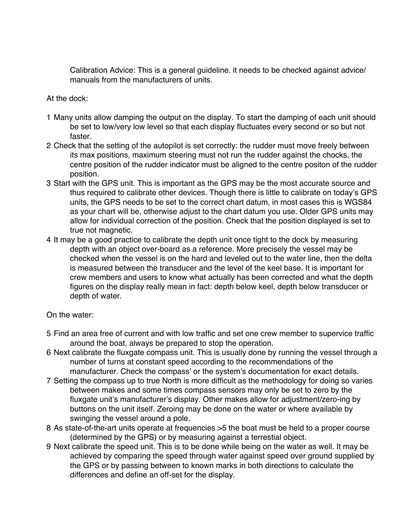Calibration Advice: This is a general guideline. it needs to be checked against advice/ Calibration Advice: This is a general guideline. it needs to be checked against advice/ manuals from the manufacturers of units. manuals from the manufacturers of units.

## At the dock: At the dock:

- 1 Many units allow damping the output on the display. To start the damping of each unit should 1 Many units allow damping the output on the display. To start the damping of each unit should be set to low/very low level so that each display fluctuates every second or so but not be set to low/very low level so that each display fluctuates every second or so but not faster. faster.
- 2 Check that the setting of the autopilot is set correctly: the rudder must move freely between 2 Check that the setting of the autopilot is set correctly: the rudder must move freely between its max positions, maximum steering must not run the rudder against the chocks, the its max positions, maximum steering must not run the rudder against the chocks, the centre position of the rudder indicator must be aligned to the centre positon of the rudder centre position of the rudder indicator must be aligned to the centre positon of the rudder position. position.
- 3 Start with the GPS unit. This is important as the GPS may be the most accurate source and 3 Start with the GPS unit. This is important as the GPS may be the most accurate source and thus required to calibrate other devices. Though there is little to calibrate on today's GPS thus required to calibrate other devices. Though there is little to calibrate on today's GPS units, the GPS needs to be set to the correct chart datum, in most cases this is WGS84 units, the GPS needs to be set to the correct chart datum, in most cases this is WGS84 as your chart will be, otherwise adjust to the chart datum you use. Older GPS units may as your chart will be, otherwise adjust to the chart datum you use. Older GPS units may allow for individual correction of the position. Check that the position displayed is set to allow for individual correction of the position. Check that the position displayed is set to true not magnetic. true not magnetic.
- 4 It may be a good practice to calibrate the depth unit once tight to the dock by measuring 4 lt may be a good practice to calibrate the depth unit once tight to the dock by measuring depth with an object over-board as a reference. More precisely the vessel may be depth with an object over-board as a reference. More precisely the vessel may be checked when the vessel is on the hard and leveled out to the water line, then the delta checked when the vessel is on the hard and leveled out to the water line, then the delta is measured between the transducer and the level of the keel base. It is important for is measured between the transducer and the level of the keel base. lt is important for crew members and users to know what actually has been corrected and what the depth crew members and users to know what actually has been corrected and what the depth figures on the display really mean in fact: depth below keel, depth below transducer or figures on the display really mean in fact: depth below keel, depth below transducer or depth of water. depth of water.On the water:

## On the water:

- 5 Find an area free of current and with low traffic and set one crew member to supervice traffic 5 Find an area free of current and with low traffic and set one crew member to supervice traffic around the boat, always be prepared to stop the operation. around the boat, always be prepared to stop the Operation.
- 6 Next calibrate the fluxgate compass unit. This is usually done by running the vessel through a 6 Next calibrate the fluxgate compass unit. This is usually done by running the vessel through a number of turns at constant speed according to the recommendations of the number of turns at constant speed according to the recommendations of the manufacturer. Check the compass' or the system's documentation for exact details. manufacturer. Check the compass' or the system's documentation for exact details.
- 7 Setting the compass up to true North is more difficult as the methodology for doing so varies 7 Setting the compass up to true North is more difficult as the methodology for doing so varies between makes and some times compass sensors may only be set to zero by the between makes and some times compass sensors may only be set to zero by the fluxgate unit's manufacturer's display. Other makes allow for adjustment/zero-ing by fluxgate unit's manufacturer's display. Other makes allow for adjustment/zero-ing by buttons on the unit itself. Zeroing may be done on the water or where available by buttons on the unit itself. Zeroing may be done on the water or where available by swinging the vessel around a pole. swinging the vessel around a pole.
- 8 As state-of-the-art units operate at frequencies >5 the boat must be held to a proper course 8 As state-of-the-art units operate at frequencies >5 the boat must be held to a proper course (determined by the GPS) or by measuring against a terrestial object. (determined by the GPS) or by measuring against a terrestial object.
- 9 Next calibrate the speed unit. This is to be done while being on the water as well. It may be 9 Next calibrate the speed unit. This is to be done while being on the water as well. lt may be achieved by comparing the speed through water against speed over ground supplied by achieved by comparing the speed through water against speed over ground supplied by the GPS or by passing between to known marks in both directions to calculate the the GPS or by passing between to known marks in both directions to calculate the differences and define an off-set for the display. differences and define an off-set for the display.